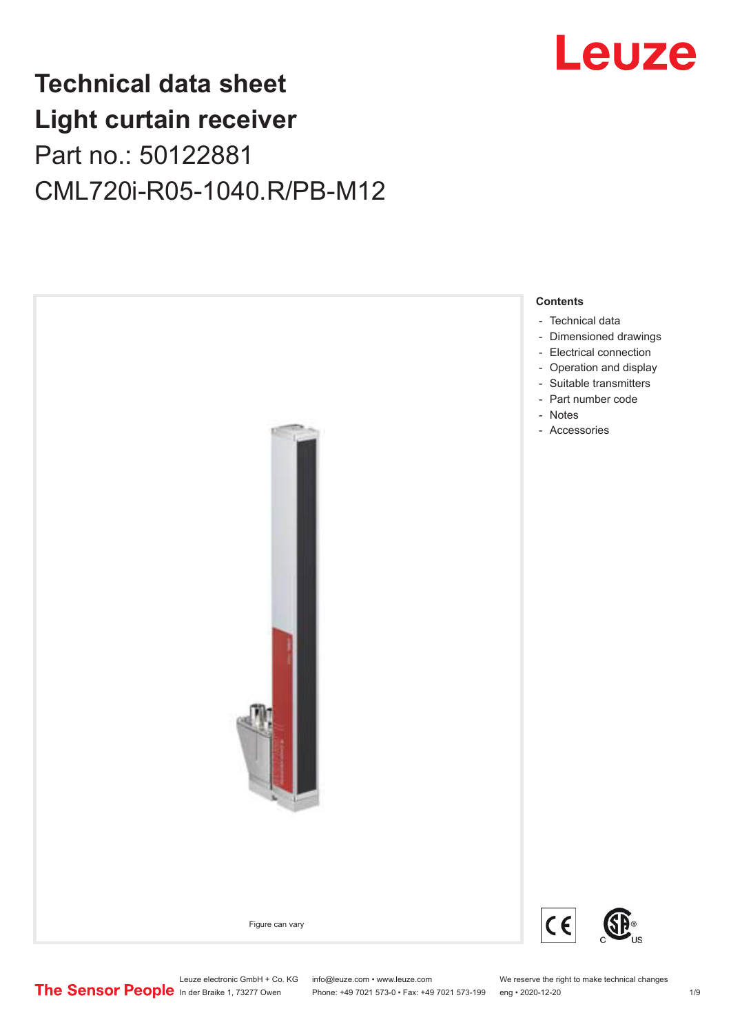

# **Technical data sheet Light curtain receiver** Part no.: 50122881 CML720i-R05-1040.R/PB-M12



Leuze electronic GmbH + Co. KG info@leuze.com • www.leuze.com We reserve the right to make technical changes<br>
The Sensor People in der Braike 1, 73277 Owen Phone: +49 7021 573-0 • Fax: +49 7021 573-199 eng • 2020-12-20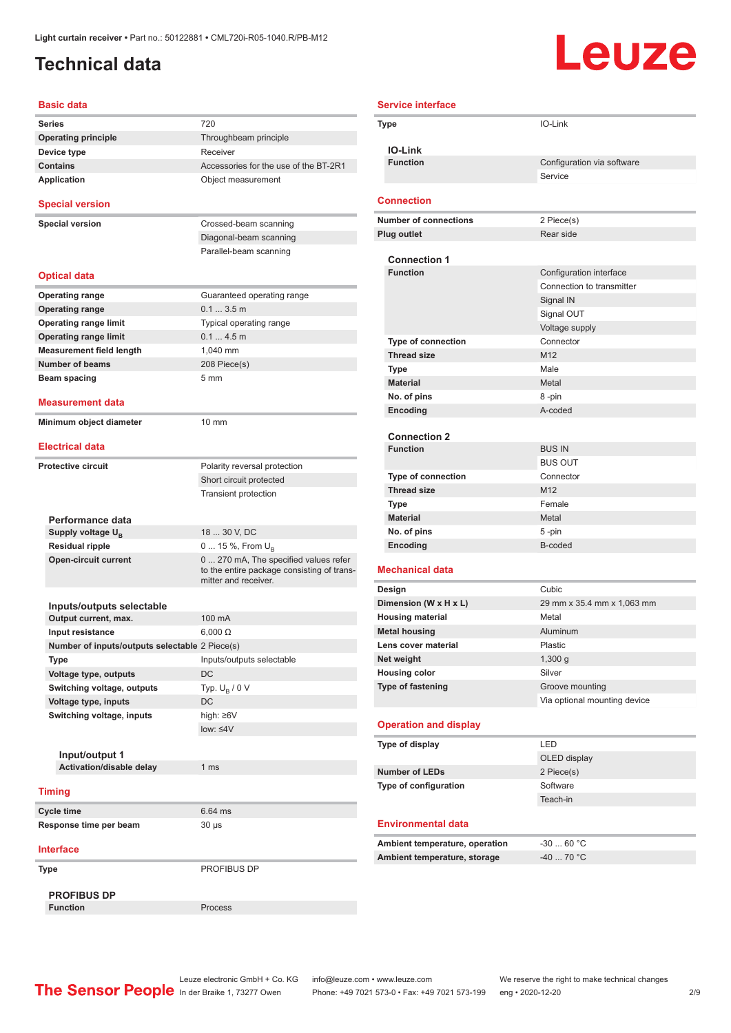### <span id="page-1-0"></span>**Technical data**

# **Leuze**

| <b>Basic data</b>                                  |                                                                                                             |
|----------------------------------------------------|-------------------------------------------------------------------------------------------------------------|
| <b>Series</b>                                      | 720                                                                                                         |
| <b>Operating principle</b>                         | Throughbeam principle                                                                                       |
| Device type                                        | Receiver                                                                                                    |
| <b>Contains</b>                                    | Accessories for the use of the BT-2R1                                                                       |
| <b>Application</b>                                 | Object measurement                                                                                          |
| <b>Special version</b>                             |                                                                                                             |
| <b>Special version</b>                             | Crossed-beam scanning                                                                                       |
|                                                    | Diagonal-beam scanning                                                                                      |
|                                                    | Parallel-beam scanning                                                                                      |
| <b>Optical data</b>                                |                                                                                                             |
| <b>Operating range</b>                             | Guaranteed operating range                                                                                  |
| <b>Operating range</b>                             | 0.13.5m                                                                                                     |
| <b>Operating range limit</b>                       | Typical operating range                                                                                     |
| <b>Operating range limit</b>                       | 0.14.5m                                                                                                     |
| <b>Measurement field length</b>                    | 1,040 mm                                                                                                    |
| <b>Number of beams</b>                             | 208 Piece(s)                                                                                                |
| Beam spacing                                       | 5 <sub>mm</sub>                                                                                             |
|                                                    |                                                                                                             |
| <b>Measurement data</b><br>Minimum object diameter | 10 mm                                                                                                       |
|                                                    |                                                                                                             |
| <b>Electrical data</b>                             |                                                                                                             |
| <b>Protective circuit</b>                          | Polarity reversal protection                                                                                |
|                                                    | Short circuit protected                                                                                     |
|                                                    | <b>Transient protection</b>                                                                                 |
| Performance data                                   |                                                                                                             |
| Supply voltage U <sub>B</sub>                      | 18  30 V, DC                                                                                                |
| <b>Residual ripple</b>                             | 0  15 %, From $U_{\rm B}$                                                                                   |
| <b>Open-circuit current</b>                        | 0  270 mA, The specified values refer<br>to the entire package consisting of trans-<br>mitter and receiver. |
|                                                    |                                                                                                             |
| Inputs/outputs selectable                          | 100 mA                                                                                                      |
| Output current, max.                               | $6.000 \Omega$                                                                                              |
| Input resistance                                   |                                                                                                             |
| Number of inputs/outputs selectable 2 Piece(s)     |                                                                                                             |
| Type                                               | Inputs/outputs selectable                                                                                   |
| Voltage type, outputs                              | <b>DC</b>                                                                                                   |
| Switching voltage, outputs                         | Typ. $U_R / 0 V$                                                                                            |
| Voltage type, inputs                               | DC                                                                                                          |
| Switching voltage, inputs                          | high: ≥6V                                                                                                   |
|                                                    | $low: 4V$                                                                                                   |
|                                                    |                                                                                                             |
| Input/output 1                                     |                                                                                                             |
| Activation/disable delay                           | 1 ms                                                                                                        |
| <b>Timing</b>                                      |                                                                                                             |
| <b>Cycle time</b>                                  | 6.64 ms                                                                                                     |
| Response time per beam                             | $30 \mu s$                                                                                                  |
| <b>Interface</b>                                   |                                                                                                             |
| Type                                               | PROFIBUS DP                                                                                                 |
|                                                    |                                                                                                             |
| <b>PROFIBUS DP</b>                                 |                                                                                                             |
| <b>Function</b>                                    | Process                                                                                                     |

| <b>Service interface</b> |                                                 |                                                      |
|--------------------------|-------------------------------------------------|------------------------------------------------------|
|                          | <b>Type</b>                                     | IO-Link                                              |
|                          | <b>IO-Link</b>                                  |                                                      |
|                          | <b>Function</b>                                 | Configuration via software                           |
|                          |                                                 | Service                                              |
|                          |                                                 |                                                      |
|                          | <b>Connection</b>                               |                                                      |
|                          | <b>Number of connections</b>                    | 2 Piece(s)                                           |
|                          | <b>Plug outlet</b>                              | Rear side                                            |
|                          |                                                 |                                                      |
|                          | <b>Connection 1</b>                             |                                                      |
|                          | <b>Function</b>                                 | Configuration interface<br>Connection to transmitter |
|                          |                                                 |                                                      |
|                          |                                                 | Signal IN                                            |
|                          |                                                 | Signal OUT                                           |
|                          |                                                 | Voltage supply<br>Connector                          |
|                          | <b>Type of connection</b><br><b>Thread size</b> | M <sub>12</sub>                                      |
|                          | Type                                            | Male                                                 |
|                          | <b>Material</b>                                 | Metal                                                |
|                          | No. of pins                                     | 8-pin                                                |
|                          | Encoding                                        | A-coded                                              |
|                          |                                                 |                                                      |
|                          | <b>Connection 2</b>                             |                                                      |
|                          | <b>Function</b>                                 | <b>BUS IN</b>                                        |
|                          |                                                 | <b>BUS OUT</b>                                       |
|                          | <b>Type of connection</b>                       | Connector                                            |
|                          | <b>Thread size</b>                              | M12                                                  |
|                          | Type                                            | Female                                               |
|                          | <b>Material</b>                                 | Metal                                                |
|                          | No. of pins                                     | 5-pin                                                |
|                          | Encoding                                        | B-coded                                              |
|                          | <b>Mechanical data</b>                          |                                                      |
| Design                   |                                                 | Cubic                                                |
| Dimension (W x H x L)    |                                                 | 29 mm x 35.4 mm x 1,063 mm                           |
|                          | <b>Housing material</b>                         | Metal                                                |
|                          | <b>Metal housing</b>                            | Aluminum                                             |
|                          | Lens cover material                             | Plastic                                              |
|                          | Net weight                                      | 1,300 g                                              |
|                          | <b>Housing color</b>                            | Silver                                               |
|                          | <b>Type of fastening</b>                        | Groove mounting                                      |
|                          |                                                 | Via optional mounting device                         |
|                          | <b>Operation and display</b>                    |                                                      |
|                          | Type of display                                 | LED                                                  |
|                          |                                                 | OLED display                                         |
|                          | <b>Number of LEDs</b>                           | 2 Piece(s)                                           |
|                          | Type of configuration                           | Software                                             |
|                          |                                                 | Teach-in                                             |
|                          |                                                 |                                                      |
|                          | Environmental data                              |                                                      |
|                          | Ambient temperature, operation                  | $-3060 °C$                                           |
|                          | Ambient temperature, storage                    | $-4070 °C$                                           |
|                          |                                                 |                                                      |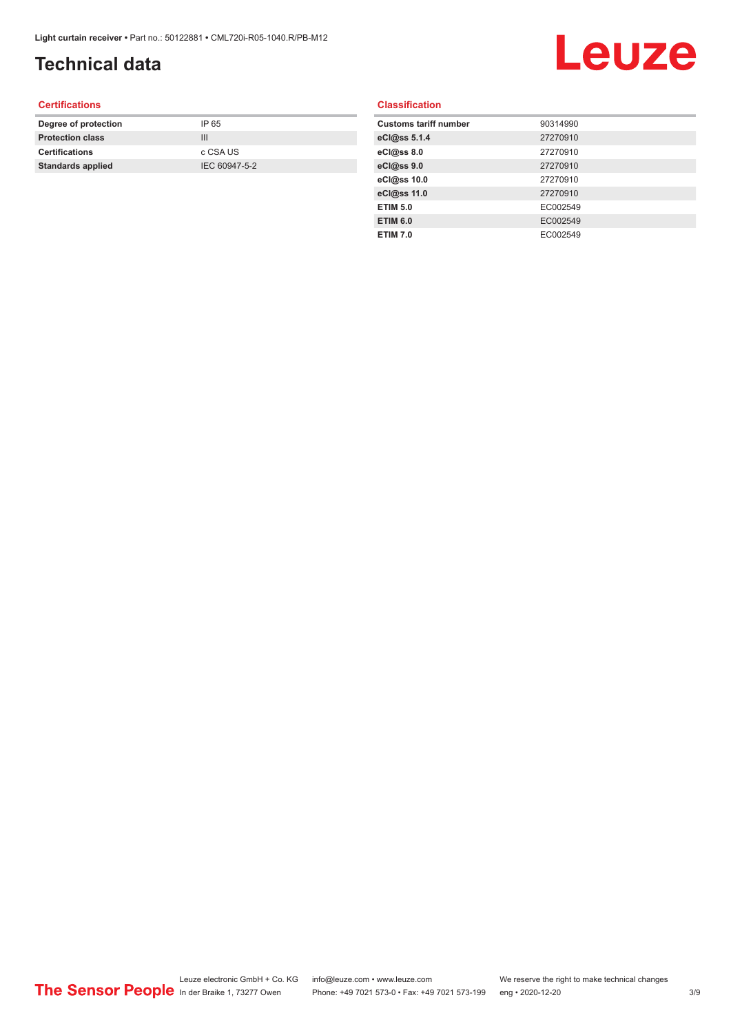# **Technical data**

# Leuze

#### **Certifications**

| Degree of protection     | IP 65         |
|--------------------------|---------------|
| <b>Protection class</b>  | Ш             |
| <b>Certifications</b>    | c CSA US      |
| <b>Standards applied</b> | IEC 60947-5-2 |
|                          |               |

#### **Classification**

| <b>Customs tariff number</b> | 90314990 |
|------------------------------|----------|
| eCl@ss 5.1.4                 | 27270910 |
| eCl@ss 8.0                   | 27270910 |
| eCl@ss 9.0                   | 27270910 |
| eCl@ss 10.0                  | 27270910 |
| eCl@ss 11.0                  | 27270910 |
| <b>ETIM 5.0</b>              | EC002549 |
| <b>ETIM 6.0</b>              | EC002549 |
| <b>ETIM 7.0</b>              | EC002549 |
|                              |          |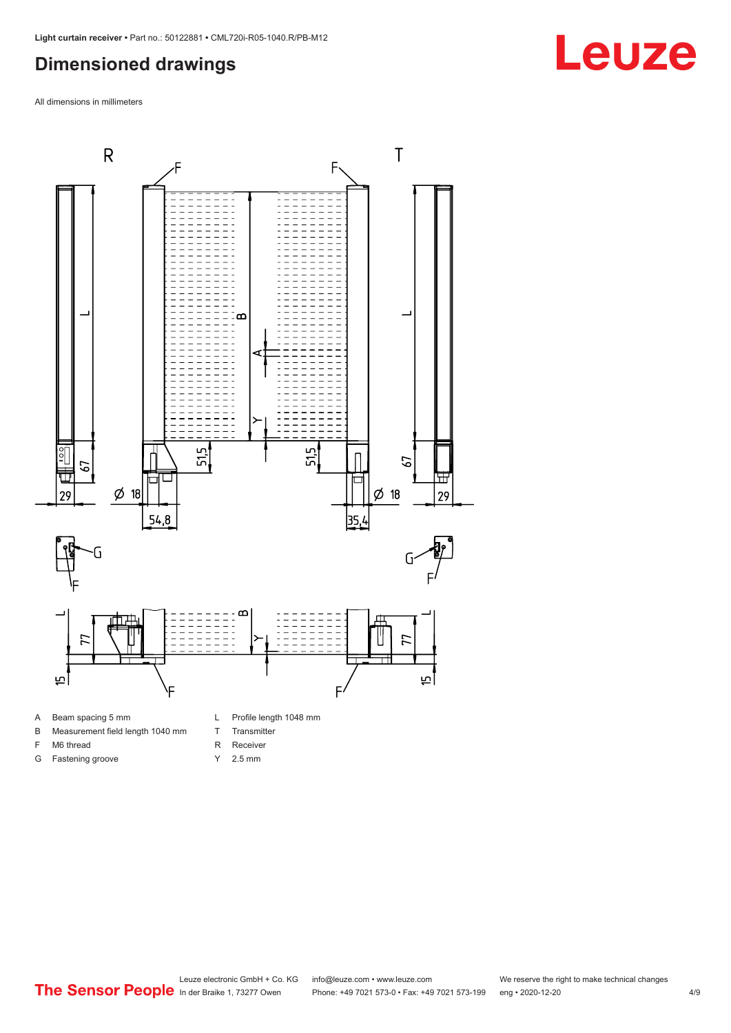#### <span id="page-3-0"></span>**Dimensioned drawings**

All dimensions in millimeters



#### A Beam spacing 5 mm

- B Measurement field length 1040 mm
- F M6 thread
- G Fastening groove
- 
- T Transmitter
- R Receiver
- Y 2.5 mm

# **Leuze**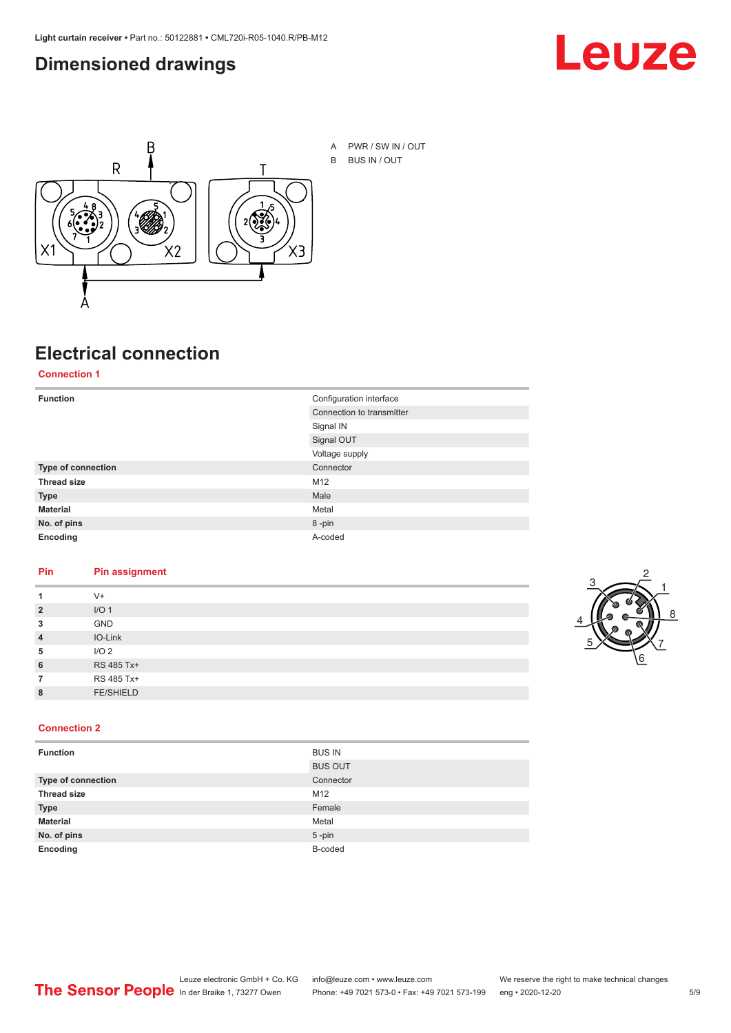#### <span id="page-4-0"></span>**Dimensioned drawings**





**Electrical connection**

**Connection 1**

| <b>Function</b>    | Configuration interface   |
|--------------------|---------------------------|
|                    | Connection to transmitter |
|                    | Signal IN                 |
|                    | Signal OUT                |
|                    | Voltage supply            |
| Type of connection | Connector                 |
| <b>Thread size</b> | M12                       |
| <b>Type</b>        | Male                      |
| <b>Material</b>    | Metal                     |
| No. of pins        | 8-pin                     |
| Encoding           | A-coded                   |

#### **Pin Pin assignment**

| 1              | $V +$            |  |  |
|----------------|------------------|--|--|
| $\overline{2}$ | I/O <sub>1</sub> |  |  |
| 3              | <b>GND</b>       |  |  |
| $\overline{4}$ | IO-Link          |  |  |
| 5              | I/O <sub>2</sub> |  |  |
| 6              | RS 485 Tx+       |  |  |
| 7              | RS 485 Tx+       |  |  |
| 8              | <b>FE/SHIELD</b> |  |  |
|                |                  |  |  |



#### **Connection 2**

| <b>Function</b>           | <b>BUS IN</b>  |
|---------------------------|----------------|
|                           | <b>BUS OUT</b> |
| <b>Type of connection</b> | Connector      |
| <b>Thread size</b>        | M12            |
| <b>Type</b>               | Female         |
| <b>Material</b>           | Metal          |
| No. of pins               | $5 - pin$      |
| Encoding                  | B-coded        |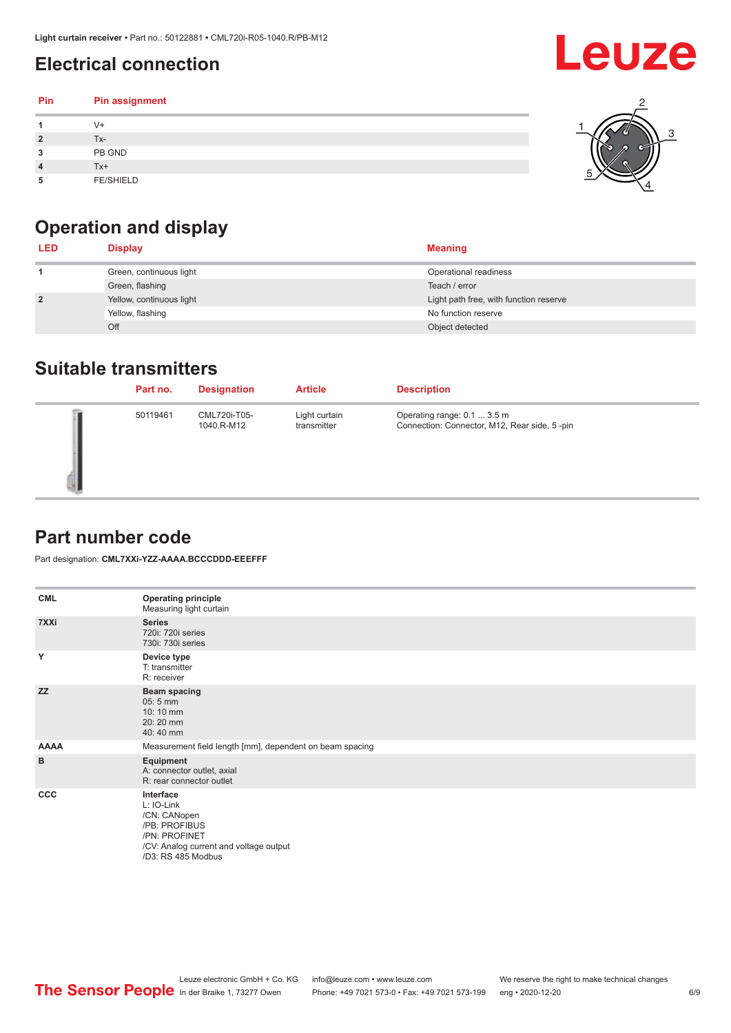# <span id="page-5-0"></span>**Electrical connection**

| Pin | Pin assignment   |  |
|-----|------------------|--|
|     | $V +$            |  |
| ຳ   | Tx-              |  |
| 3   | PB GND           |  |
|     | $Tx+$            |  |
| 5   | <b>FE/SHIELD</b> |  |

# **Operation and display**

| <b>LED</b>     | <b>Display</b>           | <b>Meaning</b>                         |
|----------------|--------------------------|----------------------------------------|
|                | Green, continuous light  | Operational readiness                  |
|                | Green, flashing          | Teach / error                          |
| $\overline{2}$ | Yellow, continuous light | Light path free, with function reserve |
|                | Yellow, flashing         | No function reserve                    |
|                | Off                      | Object detected                        |

#### **Suitable transmitters**

| Part no. | <b>Designation</b>         | <b>Article</b>               | <b>Description</b>                                                          |
|----------|----------------------------|------------------------------|-----------------------------------------------------------------------------|
| 50119461 | CML720i-T05-<br>1040.R-M12 | Light curtain<br>transmitter | Operating range: 0.1  3.5 m<br>Connection: Connector, M12, Rear side, 5-pin |

### **Part number code**

Part designation: **CML7XXi-YZZ-AAAA.BCCCDDD-EEEFFF**

| <b>CML</b>  | <b>Operating principle</b><br>Measuring light curtain                                                                                     |
|-------------|-------------------------------------------------------------------------------------------------------------------------------------------|
| 7XXi        | <b>Series</b><br>720i: 720i series<br>730i: 730i series                                                                                   |
| Y           | Device type<br>T: transmitter<br>R: receiver                                                                                              |
| <b>ZZ</b>   | <b>Beam spacing</b><br>$05:5$ mm<br>10:10 mm<br>20:20 mm<br>40:40 mm                                                                      |
| <b>AAAA</b> | Measurement field length [mm], dependent on beam spacing                                                                                  |
| B           | Equipment<br>A: connector outlet, axial<br>R: rear connector outlet                                                                       |
| CCC         | Interface<br>L: IO-Link<br>/CN: CANopen<br>/PB: PROFIBUS<br>/PN: PROFINET<br>/CV: Analog current and voltage output<br>/D3: RS 485 Modbus |

**Leuze** 

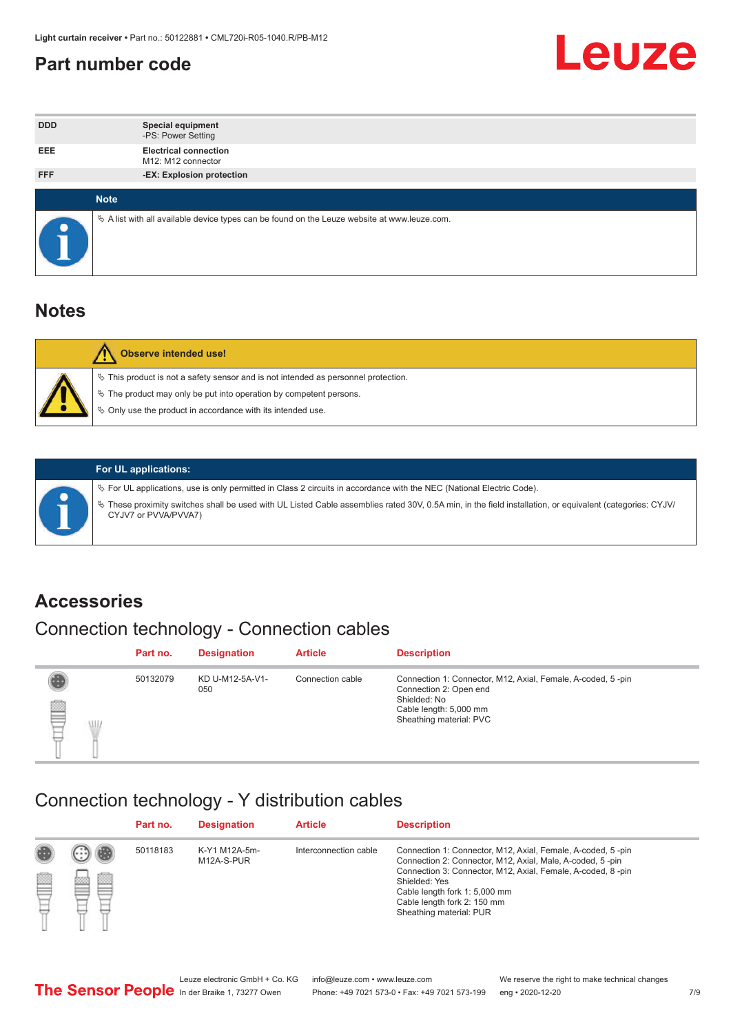#### <span id="page-6-0"></span>**Part number code**



| <b>DDD</b> | <b>Special equipment</b><br>-PS: Power Setting                                                  |
|------------|-------------------------------------------------------------------------------------------------|
| <b>EEE</b> | <b>Electrical connection</b><br>M12: M12 connector                                              |
| <b>FFF</b> | -EX: Explosion protection                                                                       |
|            | <b>Note</b>                                                                                     |
|            |                                                                                                 |
|            | $\&$ A list with all available device types can be found on the Leuze website at www.leuze.com. |

#### **Notes**

| Observe intended use!                                                                                                                                                                                                            |
|----------------------------------------------------------------------------------------------------------------------------------------------------------------------------------------------------------------------------------|
| $\%$ This product is not a safety sensor and is not intended as personnel protection.<br>$\%$ The product may only be put into operation by competent persons.<br>$\%$ Only use the product in accordance with its intended use. |
|                                                                                                                                                                                                                                  |



#### **For UL applications:**

ª For UL applications, use is only permitted in Class 2 circuits in accordance with the NEC (National Electric Code). ª These proximity switches shall be used with UL Listed Cable assemblies rated 30V, 0.5A min, in the field installation, or equivalent (categories: CYJV/ CYJV7 or PVVA/PVVA7)

#### **Accessories**

### Connection technology - Connection cables

|        | Part no. | <b>Designation</b>     | <b>Article</b>   | <b>Description</b>                                                                                                                                         |
|--------|----------|------------------------|------------------|------------------------------------------------------------------------------------------------------------------------------------------------------------|
| 2<br>W | 50132079 | KD U-M12-5A-V1-<br>050 | Connection cable | Connection 1: Connector, M12, Axial, Female, A-coded, 5-pin<br>Connection 2: Open end<br>Shielded: No<br>Cable length: 5,000 mm<br>Sheathing material: PVC |

#### Connection technology - Y distribution cables

|        |   | Part no. | <b>Designation</b>          | <b>Article</b>        | <b>Description</b>                                                                                                                                                                                                                                                                                  |
|--------|---|----------|-----------------------------|-----------------------|-----------------------------------------------------------------------------------------------------------------------------------------------------------------------------------------------------------------------------------------------------------------------------------------------------|
| 圔<br>⋿ | Ø | 50118183 | K-Y1 M12A-5m-<br>M12A-S-PUR | Interconnection cable | Connection 1: Connector, M12, Axial, Female, A-coded, 5-pin<br>Connection 2: Connector, M12, Axial, Male, A-coded, 5-pin<br>Connection 3: Connector, M12, Axial, Female, A-coded, 8-pin<br>Shielded: Yes<br>Cable length fork 1: 5,000 mm<br>Cable length fork 2: 150 mm<br>Sheathing material: PUR |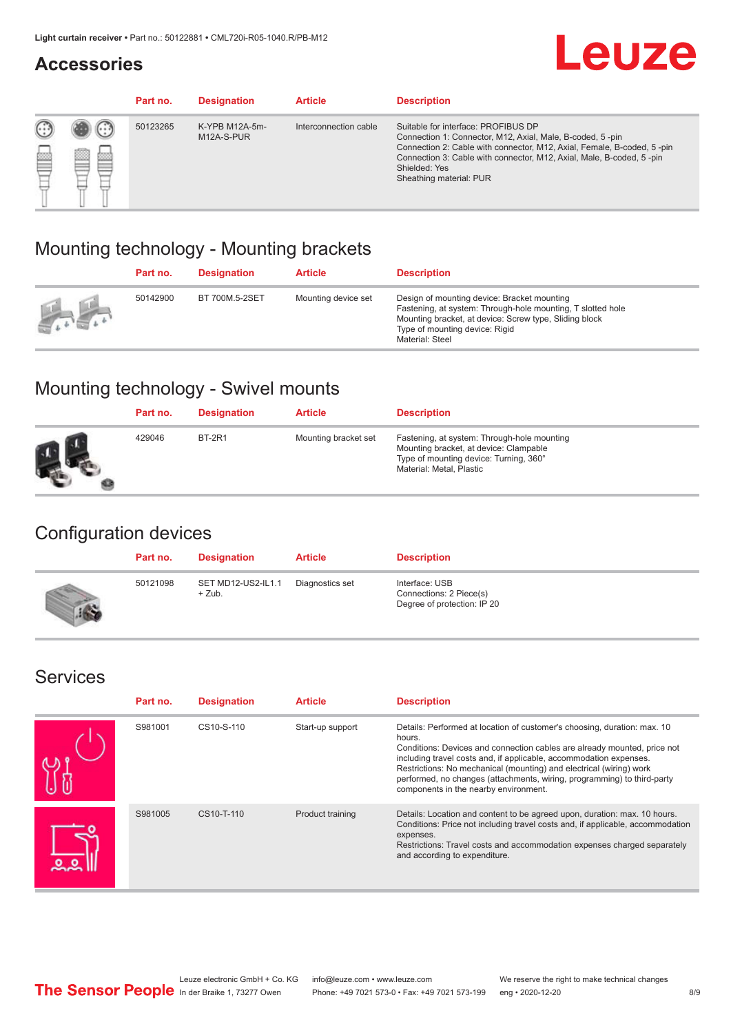#### **Accessories**

# **Leuze**

|   |        | Part no. | <b>Designation</b>           | <b>Article</b>        | <b>Description</b>                                                                                                                                                                                                                                                                             |
|---|--------|----------|------------------------------|-----------------------|------------------------------------------------------------------------------------------------------------------------------------------------------------------------------------------------------------------------------------------------------------------------------------------------|
| 您 | ×<br>一 | 50123265 | K-YPB M12A-5m-<br>M12A-S-PUR | Interconnection cable | Suitable for interface: PROFIBUS DP<br>Connection 1: Connector, M12, Axial, Male, B-coded, 5-pin<br>Connection 2: Cable with connector, M12, Axial, Female, B-coded, 5-pin<br>Connection 3: Cable with connector, M12, Axial, Male, B-coded, 5-pin<br>Shielded: Yes<br>Sheathing material: PUR |

### Mounting technology - Mounting brackets

|               | Part no. | <b>Designation</b> | <b>Article</b>      | <b>Description</b>                                                                                                                                                                                                        |
|---------------|----------|--------------------|---------------------|---------------------------------------------------------------------------------------------------------------------------------------------------------------------------------------------------------------------------|
| $\frac{1}{2}$ | 50142900 | BT 700M.5-2SET     | Mounting device set | Design of mounting device: Bracket mounting<br>Fastening, at system: Through-hole mounting, T slotted hole<br>Mounting bracket, at device: Screw type, Sliding block<br>Type of mounting device: Rigid<br>Material: Steel |

### Mounting technology - Swivel mounts

| Part no. | <b>Designation</b> | <b>Article</b>       | <b>Description</b>                                                                                                                                          |
|----------|--------------------|----------------------|-------------------------------------------------------------------------------------------------------------------------------------------------------------|
| 429046   | <b>BT-2R1</b>      | Mounting bracket set | Fastening, at system: Through-hole mounting<br>Mounting bracket, at device: Clampable<br>Type of mounting device: Turning, 360°<br>Material: Metal, Plastic |

### Configuration devices

| Part no. | <b>Designation</b>             | <b>Article</b>  | <b>Description</b>                                                       |
|----------|--------------------------------|-----------------|--------------------------------------------------------------------------|
| 50121098 | SET MD12-US2-IL1.1<br>$+$ Zub. | Diagnostics set | Interface: USB<br>Connections: 2 Piece(s)<br>Degree of protection: IP 20 |

#### Services

| Part no. | <b>Designation</b> | <b>Article</b>   | <b>Description</b>                                                                                                                                                                                                                                                                                                                                                                                                              |
|----------|--------------------|------------------|---------------------------------------------------------------------------------------------------------------------------------------------------------------------------------------------------------------------------------------------------------------------------------------------------------------------------------------------------------------------------------------------------------------------------------|
| S981001  | CS10-S-110         | Start-up support | Details: Performed at location of customer's choosing, duration: max. 10<br>hours.<br>Conditions: Devices and connection cables are already mounted, price not<br>including travel costs and, if applicable, accommodation expenses.<br>Restrictions: No mechanical (mounting) and electrical (wiring) work<br>performed, no changes (attachments, wiring, programming) to third-party<br>components in the nearby environment. |
| S981005  | CS10-T-110         | Product training | Details: Location and content to be agreed upon, duration: max. 10 hours.<br>Conditions: Price not including travel costs and, if applicable, accommodation<br>expenses.<br>Restrictions: Travel costs and accommodation expenses charged separately<br>and according to expenditure.                                                                                                                                           |